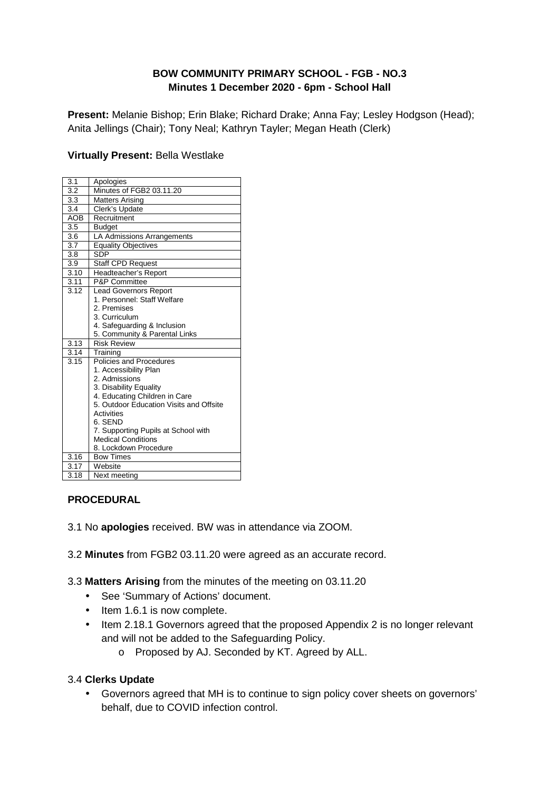### **BOW COMMUNITY PRIMARY SCHOOL - FGB - NO.3 Minutes 1 December 2020 - 6pm - School Hall**

**Present:** Melanie Bishop; Erin Blake; Richard Drake; Anna Fay; Lesley Hodgson (Head); Anita Jellings (Chair); Tony Neal; Kathryn Tayler; Megan Heath (Clerk)

#### **Virtually Present:** Bella Westlake

| 3.1              | Apologies                                                                |
|------------------|--------------------------------------------------------------------------|
| 3.2              | Minutes of FGB2 03.11.20                                                 |
| $\overline{3.3}$ | <b>Matters Arising</b>                                                   |
| 3.4              | Clerk's Update                                                           |
| <b>AOB</b>       | Recruitment                                                              |
| 3.5              | <b>Budget</b>                                                            |
| 3.6              | LA Admissions Arrangements                                               |
| 3.7              | <b>Equality Objectives</b>                                               |
| 3.8              | SDP                                                                      |
| 3.9              | <b>Staff CPD Request</b>                                                 |
| 3.10             | Headteacher's Report                                                     |
| 3.11             | P&P Committee                                                            |
| 3.12             | <b>Lead Governors Report</b>                                             |
|                  | 1. Personnel: Staff Welfare                                              |
|                  | 2. Premises                                                              |
|                  | 3. Curriculum                                                            |
|                  | 4. Safeguarding & Inclusion                                              |
|                  | 5. Community & Parental Links                                            |
| 3.13             | <b>Risk Review</b>                                                       |
| 3.14             | Training                                                                 |
| 3.15             | Policies and Procedures                                                  |
|                  | 1. Accessibility Plan                                                    |
|                  | 2. Admissions                                                            |
|                  | 3. Disability Equality                                                   |
|                  | 4. Educating Children in Care<br>5. Outdoor Education Visits and Offsite |
|                  | Activities                                                               |
|                  | 6. SEND                                                                  |
|                  | 7. Supporting Pupils at School with                                      |
|                  | <b>Medical Conditions</b>                                                |
|                  | 8. Lockdown Procedure                                                    |
| 3.16             | <b>Bow Times</b>                                                         |
| 3.17             | Website                                                                  |
| 3.18             | Next meetina                                                             |
|                  |                                                                          |

#### **PROCEDURAL**

- 3.1 No **apologies** received. BW was in attendance via ZOOM.
- 3.2 **Minutes** from FGB2 03.11.20 were agreed as an accurate record.
- 3.3 **Matters Arising** from the minutes of the meeting on 03.11.20
	- See 'Summary of Actions' document.
	- Item 1.6.1 is now complete.
	- Item 2.18.1 Governors agreed that the proposed Appendix 2 is no longer relevant and will not be added to the Safeguarding Policy.
		- o Proposed by AJ. Seconded by KT. Agreed by ALL.

#### 3.4 **Clerks Update**

• Governors agreed that MH is to continue to sign policy cover sheets on governors' behalf, due to COVID infection control.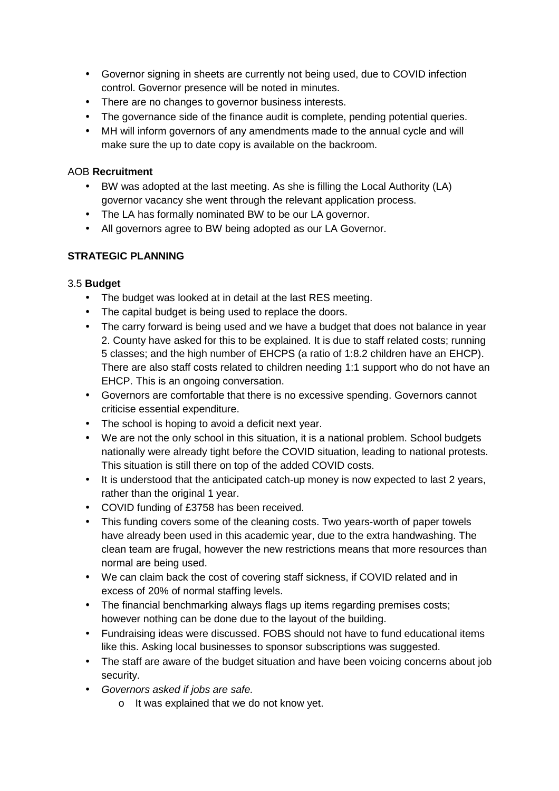- Governor signing in sheets are currently not being used, due to COVID infection control. Governor presence will be noted in minutes.
- There are no changes to governor business interests.
- The governance side of the finance audit is complete, pending potential queries.
- MH will inform governors of any amendments made to the annual cycle and will make sure the up to date copy is available on the backroom.

#### AOB **Recruitment**

- BW was adopted at the last meeting. As she is filling the Local Authority (LA) governor vacancy she went through the relevant application process.
- The LA has formally nominated BW to be our LA governor.
- All governors agree to BW being adopted as our LA Governor.

### **STRATEGIC PLANNING**

#### 3.5 **Budget**

- The budget was looked at in detail at the last RES meeting.
- The capital budget is being used to replace the doors.
- The carry forward is being used and we have a budget that does not balance in year 2. County have asked for this to be explained. It is due to staff related costs; running 5 classes; and the high number of EHCPS (a ratio of 1:8.2 children have an EHCP). There are also staff costs related to children needing 1:1 support who do not have an EHCP. This is an ongoing conversation.
- Governors are comfortable that there is no excessive spending. Governors cannot criticise essential expenditure.
- The school is hoping to avoid a deficit next year.
- We are not the only school in this situation, it is a national problem. School budgets nationally were already tight before the COVID situation, leading to national protests. This situation is still there on top of the added COVID costs.
- It is understood that the anticipated catch-up money is now expected to last 2 years, rather than the original 1 year.
- COVID funding of £3758 has been received.
- This funding covers some of the cleaning costs. Two years-worth of paper towels have already been used in this academic year, due to the extra handwashing. The clean team are frugal, however the new restrictions means that more resources than normal are being used.
- We can claim back the cost of covering staff sickness, if COVID related and in excess of 20% of normal staffing levels.
- The financial benchmarking always flags up items regarding premises costs; however nothing can be done due to the layout of the building.
- Fundraising ideas were discussed. FOBS should not have to fund educational items like this. Asking local businesses to sponsor subscriptions was suggested.
- The staff are aware of the budget situation and have been voicing concerns about job security.
- Governors asked if jobs are safe.
	- o It was explained that we do not know yet.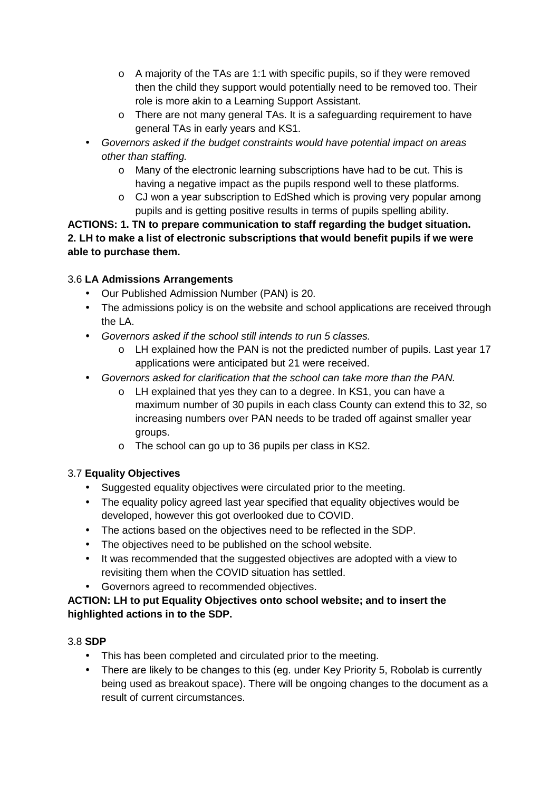- $\circ$  A majority of the TAs are 1:1 with specific pupils, so if they were removed then the child they support would potentially need to be removed too. Their role is more akin to a Learning Support Assistant.
- o There are not many general TAs. It is a safeguarding requirement to have general TAs in early years and KS1.
- Governors asked if the budget constraints would have potential impact on areas other than staffing.
	- o Many of the electronic learning subscriptions have had to be cut. This is having a negative impact as the pupils respond well to these platforms.
	- o CJ won a year subscription to EdShed which is proving very popular among pupils and is getting positive results in terms of pupils spelling ability.

**ACTIONS: 1. TN to prepare communication to staff regarding the budget situation. 2. LH to make a list of electronic subscriptions that would benefit pupils if we were able to purchase them.** 

## 3.6 **LA Admissions Arrangements**

- Our Published Admission Number (PAN) is 20.
- The admissions policy is on the website and school applications are received through the LA.
- Governors asked if the school still intends to run 5 classes.
	- o LH explained how the PAN is not the predicted number of pupils. Last year 17 applications were anticipated but 21 were received.
- Governors asked for clarification that the school can take more than the PAN.
	- o LH explained that yes they can to a degree. In KS1, you can have a maximum number of 30 pupils in each class County can extend this to 32, so increasing numbers over PAN needs to be traded off against smaller year groups.
	- o The school can go up to 36 pupils per class in KS2.

# 3.7 **Equality Objectives**

- Suggested equality objectives were circulated prior to the meeting.
- The equality policy agreed last year specified that equality objectives would be developed, however this got overlooked due to COVID.
- The actions based on the objectives need to be reflected in the SDP.
- The objectives need to be published on the school website.
- It was recommended that the suggested objectives are adopted with a view to revisiting them when the COVID situation has settled.
- Governors agreed to recommended objectives.

## **ACTION: LH to put Equality Objectives onto school website; and to insert the highlighted actions in to the SDP.**

## 3.8 **SDP**

- This has been completed and circulated prior to the meeting.
- There are likely to be changes to this (eg. under Key Priority 5, Robolab is currently being used as breakout space). There will be ongoing changes to the document as a result of current circumstances.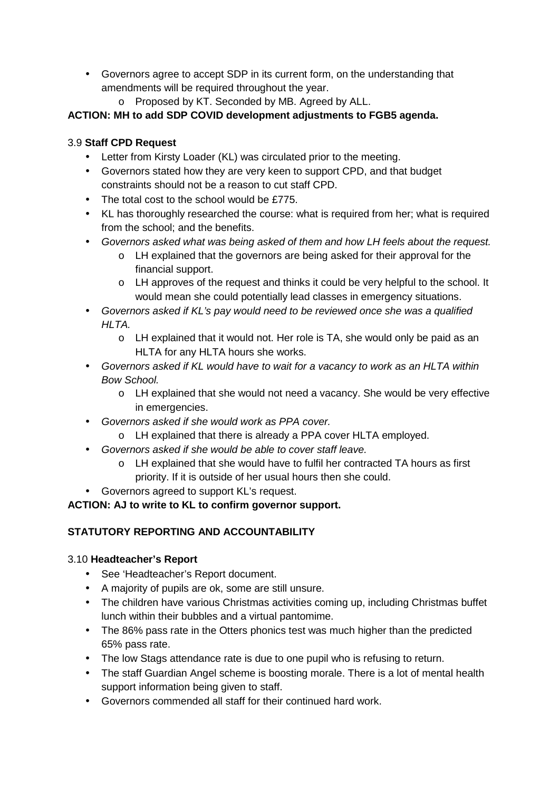- Governors agree to accept SDP in its current form, on the understanding that amendments will be required throughout the year.
	- o Proposed by KT. Seconded by MB. Agreed by ALL.

## **ACTION: MH to add SDP COVID development adjustments to FGB5 agenda.**

## 3.9 **Staff CPD Request**

- Letter from Kirsty Loader (KL) was circulated prior to the meeting.
- Governors stated how they are very keen to support CPD, and that budget constraints should not be a reason to cut staff CPD.
- The total cost to the school would be £775.
- KL has thoroughly researched the course: what is required from her; what is required from the school; and the benefits.
- Governors asked what was being asked of them and how LH feels about the request.
	- o LH explained that the governors are being asked for their approval for the financial support.
	- o LH approves of the request and thinks it could be very helpful to the school. It would mean she could potentially lead classes in emergency situations.
- Governors asked if KL's pay would need to be reviewed once she was a qualified HLTA.
	- o LH explained that it would not. Her role is TA, she would only be paid as an HLTA for any HLTA hours she works.
- Governors asked if KL would have to wait for a vacancy to work as an HLTA within Bow School.
	- o LH explained that she would not need a vacancy. She would be very effective in emergencies.
- Governors asked if she would work as PPA cover.
	- o LH explained that there is already a PPA cover HLTA employed.
- Governors asked if she would be able to cover staff leave.
	- o LH explained that she would have to fulfil her contracted TA hours as first priority. If it is outside of her usual hours then she could.
- Governors agreed to support KL's request.

# **ACTION: AJ to write to KL to confirm governor support.**

# **STATUTORY REPORTING AND ACCOUNTABILITY**

# 3.10 **Headteacher's Report**

- See 'Headteacher's Report document.
- A majority of pupils are ok, some are still unsure.
- The children have various Christmas activities coming up, including Christmas buffet lunch within their bubbles and a virtual pantomime.
- The 86% pass rate in the Otters phonics test was much higher than the predicted 65% pass rate.
- The low Stags attendance rate is due to one pupil who is refusing to return.
- The staff Guardian Angel scheme is boosting morale. There is a lot of mental health support information being given to staff.
- Governors commended all staff for their continued hard work.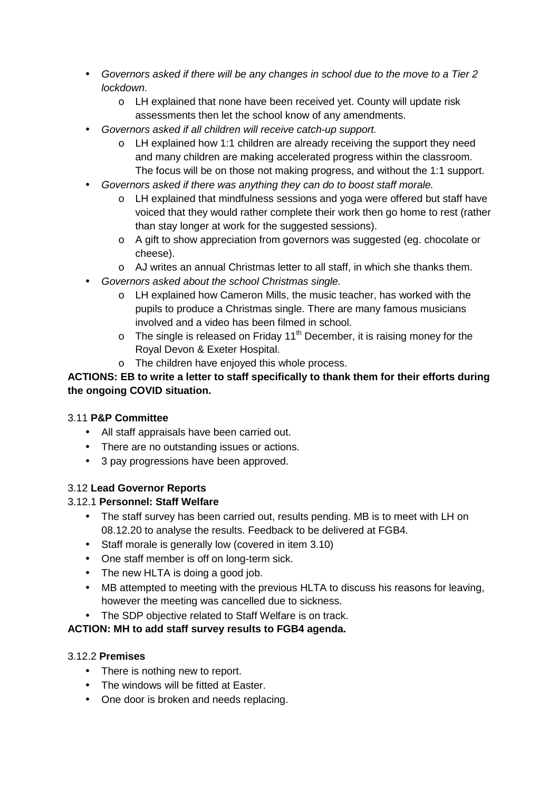- Governors asked if there will be any changes in school due to the move to a Tier 2 lockdown.
	- o LH explained that none have been received yet. County will update risk assessments then let the school know of any amendments.
- Governors asked if all children will receive catch-up support.
	- $\circ$  LH explained how 1:1 children are already receiving the support they need and many children are making accelerated progress within the classroom. The focus will be on those not making progress, and without the 1:1 support.
- Governors asked if there was anything they can do to boost staff morale.
	- o LH explained that mindfulness sessions and yoga were offered but staff have voiced that they would rather complete their work then go home to rest (rather than stay longer at work for the suggested sessions).
	- o A gift to show appreciation from governors was suggested (eg. chocolate or cheese).
	- o AJ writes an annual Christmas letter to all staff, in which she thanks them.
- Governors asked about the school Christmas single.
	- o LH explained how Cameron Mills, the music teacher, has worked with the pupils to produce a Christmas single. There are many famous musicians involved and a video has been filmed in school.
	- $\circ$  The single is released on Friday 11<sup>th</sup> December, it is raising money for the Royal Devon & Exeter Hospital.
	- o The children have enjoyed this whole process.

#### **ACTIONS: EB to write a letter to staff specifically to thank them for their efforts during the ongoing COVID situation.**

#### 3.11 **P&P Committee**

- All staff appraisals have been carried out.
- There are no outstanding issues or actions.
- 3 pay progressions have been approved.

#### 3.12 **Lead Governor Reports**

#### 3.12.1 **Personnel: Staff Welfare**

- The staff survey has been carried out, results pending. MB is to meet with LH on 08.12.20 to analyse the results. Feedback to be delivered at FGB4.
- Staff morale is generally low (covered in item 3.10)
- One staff member is off on long-term sick.
- The new HLTA is doing a good job.
- MB attempted to meeting with the previous HLTA to discuss his reasons for leaving, however the meeting was cancelled due to sickness.
- The SDP objective related to Staff Welfare is on track.

#### **ACTION: MH to add staff survey results to FGB4 agenda.**

#### 3.12.2 **Premises**

- There is nothing new to report.
- The windows will be fitted at Easter.
- One door is broken and needs replacing.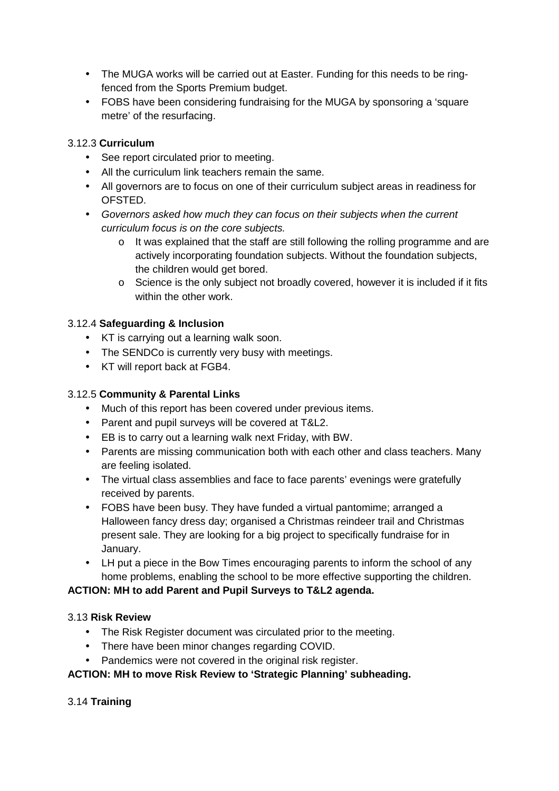- The MUGA works will be carried out at Easter. Funding for this needs to be ringfenced from the Sports Premium budget.
- FOBS have been considering fundraising for the MUGA by sponsoring a 'square metre' of the resurfacing.

### 3.12.3 **Curriculum**

- See report circulated prior to meeting.
- All the curriculum link teachers remain the same.
- All governors are to focus on one of their curriculum subject areas in readiness for OFSTED.
- Governors asked how much they can focus on their subjects when the current curriculum focus is on the core subjects.
	- o It was explained that the staff are still following the rolling programme and are actively incorporating foundation subjects. Without the foundation subjects, the children would get bored.
	- o Science is the only subject not broadly covered, however it is included if it fits within the other work.

#### 3.12.4 **Safeguarding & Inclusion**

- KT is carrying out a learning walk soon.
- The SENDCo is currently very busy with meetings.
- KT will report back at FGB4.

#### 3.12.5 **Community & Parental Links**

- Much of this report has been covered under previous items.
- Parent and pupil surveys will be covered at T&L2.
- EB is to carry out a learning walk next Friday, with BW.
- Parents are missing communication both with each other and class teachers. Many are feeling isolated.
- The virtual class assemblies and face to face parents' evenings were gratefully received by parents.
- FOBS have been busy. They have funded a virtual pantomime; arranged a Halloween fancy dress day; organised a Christmas reindeer trail and Christmas present sale. They are looking for a big project to specifically fundraise for in January.
- LH put a piece in the Bow Times encouraging parents to inform the school of any home problems, enabling the school to be more effective supporting the children.

#### **ACTION: MH to add Parent and Pupil Surveys to T&L2 agenda.**

#### 3.13 **Risk Review**

- The Risk Register document was circulated prior to the meeting.
- There have been minor changes regarding COVID.
- Pandemics were not covered in the original risk register.

#### **ACTION: MH to move Risk Review to 'Strategic Planning' subheading.**

#### 3.14 **Training**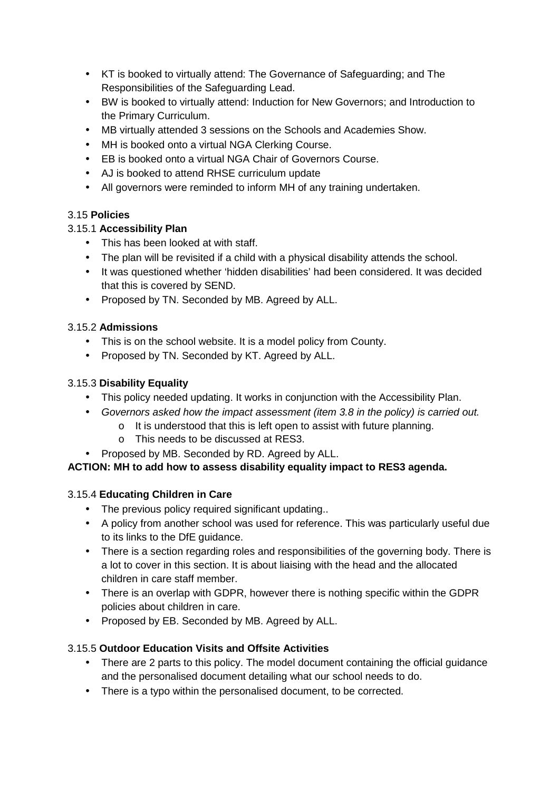- KT is booked to virtually attend: The Governance of Safeguarding; and The Responsibilities of the Safeguarding Lead.
- BW is booked to virtually attend: Induction for New Governors; and Introduction to the Primary Curriculum.
- MB virtually attended 3 sessions on the Schools and Academies Show.
- MH is booked onto a virtual NGA Clerking Course.
- EB is booked onto a virtual NGA Chair of Governors Course.
- AJ is booked to attend RHSE curriculum update
- All governors were reminded to inform MH of any training undertaken.

## 3.15 **Policies**

## 3.15.1 **Accessibility Plan**

- This has been looked at with staff.
- The plan will be revisited if a child with a physical disability attends the school.
- It was questioned whether 'hidden disabilities' had been considered. It was decided that this is covered by SEND.
- Proposed by TN. Seconded by MB. Agreed by ALL.

## 3.15.2 **Admissions**

- This is on the school website. It is a model policy from County.
- Proposed by TN. Seconded by KT. Agreed by ALL.

## 3.15.3 **Disability Equality**

- This policy needed updating. It works in conjunction with the Accessibility Plan.
- Governors asked how the impact assessment (item 3.8 in the policy) is carried out.
	- o It is understood that this is left open to assist with future planning.
		- o This needs to be discussed at RES3.
- Proposed by MB. Seconded by RD. Agreed by ALL.

# **ACTION: MH to add how to assess disability equality impact to RES3 agenda.**

## 3.15.4 **Educating Children in Care**

- The previous policy required significant updating..
- A policy from another school was used for reference. This was particularly useful due to its links to the DfE guidance.
- There is a section regarding roles and responsibilities of the governing body. There is a lot to cover in this section. It is about liaising with the head and the allocated children in care staff member.
- There is an overlap with GDPR, however there is nothing specific within the GDPR policies about children in care.
- Proposed by EB. Seconded by MB. Agreed by ALL.

# 3.15.5 **Outdoor Education Visits and Offsite Activities**

- There are 2 parts to this policy. The model document containing the official guidance and the personalised document detailing what our school needs to do.
- There is a typo within the personalised document, to be corrected.